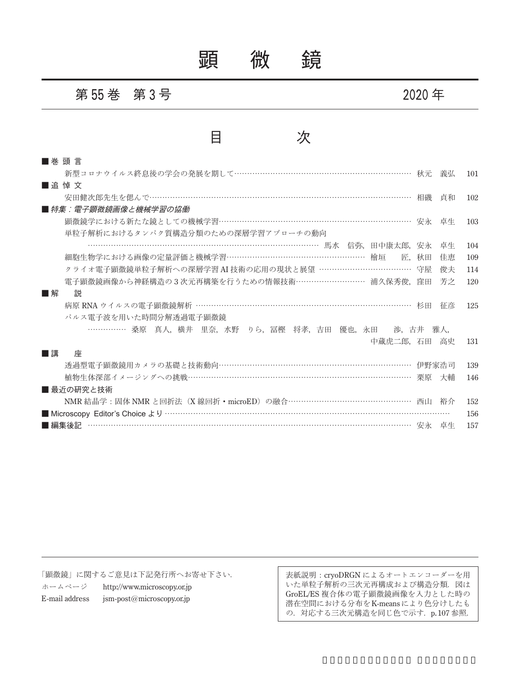## 顕 微 鏡

#### 第 **55** 巻 第 **3** 号 **2020** 年

### 目 次

| ■巻頭言                                                         |     |
|--------------------------------------------------------------|-----|
| 新型コロナウイルス終息後の学会の発展を期して………………………………………………………… 秋元<br>義弘        | 101 |
| ■追悼文                                                         |     |
| 安田健次郎先生を偲んで………………………………………………………………………………………… 相磯<br>貞和       | 102 |
| ■ 特集:電子顕微鏡画像と機械学習の協働                                         |     |
| 顕微鏡学における新たな鏡としての機械学習………………………………………………………………… 安永 卓生          | 103 |
| 単粒子解析におけるタンパク質構造分類のための深層学習アプローチの動向                           |     |
| ………………………………………………………………………………… 馬水 信弥,田中康太郎,安永<br>卓生         | 104 |
| 細胞生物学における画像の定量評価と機械学習……………………………………………… 檜垣<br>匠. 秋田<br>佳恵    | 109 |
| クライオ電子顕微鏡単粒子解析への深層学習 AI 技術の応用の現状と展望 ……………………………… 守屋<br>俊夫    | 114 |
| 電子顕微鏡画像から神経構造の3次元再構築を行うための情報技術……………………… 浦久保秀俊, 窪田<br>芳之      | 120 |
| ■解<br>説                                                      |     |
| 病原 RNA ウイルスの電子顕微鏡解析 …………………………………………………………………… 杉田<br>征彦      | 125 |
| パルス電子波を用いた時間分解透過電子顕微鏡                                        |     |
| ……………… 桑原 真人,横井 里奈,水野 りら,冨樫 将孝,吉田 優也,永田  渉,古井 雅人,            |     |
| 中蔵虎二郎,石田 高史                                                  | 131 |
| ■講<br>座                                                      |     |
| 透過型電子顕微鏡用カメラの基礎と技術動向………………………………………………………………… 伊野家浩司          | 139 |
| 植物生体深部イメージングへの挑戦…………………………………………………………………………… 栗原<br>大輔       | 146 |
| ■ 最近の研究と技術                                                   |     |
| NMR 結晶学:固体 NMR と回折法 (X線回折·microED) の融合………………………………………… 西山 裕介 | 152 |
|                                                              | 156 |
| ■ 編集後記                                                       | 157 |

「顕微鏡」に関するご意見は下記発行所へお寄せ下さい. ホームページ http://www.microscopy.or.jp E-mail address jsm-post@microscopy.or.jp

表紙説明:cryoDRGN によるオートエンコーダーを用 いた単粒子解析の三次元再構成および構造分類.図は GroEL/ES 複合体の電子顕微鏡画像を入力とした時の 潜在空間における分布をK-meansにより色分けしたも の.対応する三次元構造を同じ色で示す.p. 107 参照.